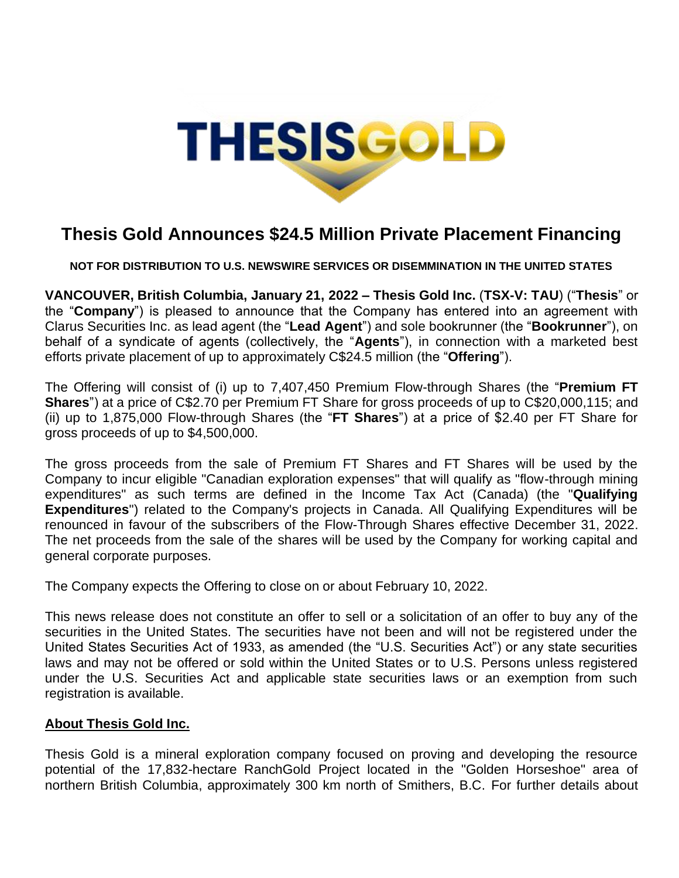

## **Thesis Gold Announces \$24.5 Million Private Placement Financing**

**NOT FOR DISTRIBUTION TO U.S. NEWSWIRE SERVICES OR DISEMMINATION IN THE UNITED STATES**

**VANCOUVER, British Columbia, January 21, 2022 – Thesis Gold Inc.** (**TSX-V: TAU**) ("**Thesis**" or the "**Company**") is pleased to announce that the Company has entered into an agreement with Clarus Securities Inc. as lead agent (the "**Lead Agent**") and sole bookrunner (the "**Bookrunner**"), on behalf of a syndicate of agents (collectively, the "**Agents**"), in connection with a marketed best efforts private placement of up to approximately C\$24.5 million (the "**Offering**").

The Offering will consist of (i) up to 7,407,450 Premium Flow-through Shares (the "**Premium FT Shares**") at a price of C\$2.70 per Premium FT Share for gross proceeds of up to C\$20,000,115; and (ii) up to 1,875,000 Flow-through Shares (the "**FT Shares**") at a price of \$2.40 per FT Share for gross proceeds of up to \$4,500,000.

The gross proceeds from the sale of Premium FT Shares and FT Shares will be used by the Company to incur eligible "Canadian exploration expenses" that will qualify as "flow-through mining expenditures" as such terms are defined in the Income Tax Act (Canada) (the "**Qualifying Expenditures**") related to the Company's projects in Canada. All Qualifying Expenditures will be renounced in favour of the subscribers of the Flow-Through Shares effective December 31, 2022. The net proceeds from the sale of the shares will be used by the Company for working capital and general corporate purposes.

The Company expects the Offering to close on or about February 10, 2022.

This news release does not constitute an offer to sell or a solicitation of an offer to buy any of the securities in the United States. The securities have not been and will not be registered under the United States Securities Act of 1933, as amended (the "U.S. Securities Act") or any state securities laws and may not be offered or sold within the United States or to U.S. Persons unless registered under the U.S. Securities Act and applicable state securities laws or an exemption from such registration is available.

## **About Thesis Gold Inc.**

Thesis Gold is a mineral exploration company focused on proving and developing the resource potential of the 17,832-hectare RanchGold Project located in the "Golden Horseshoe" area of northern British Columbia, approximately 300 km north of Smithers, B.C. For further details about